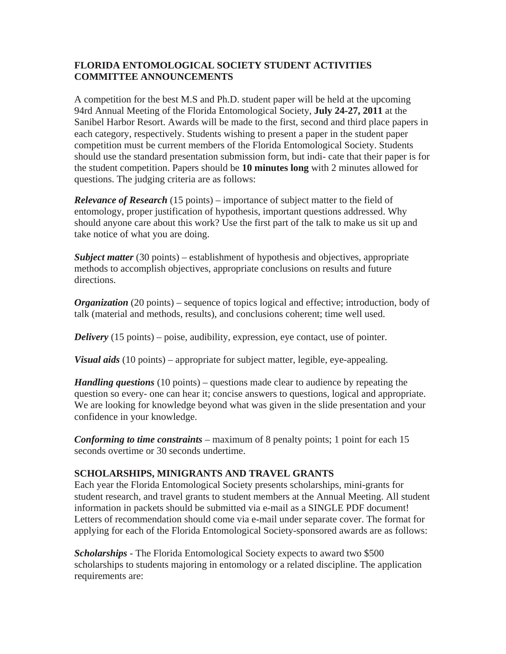## **FLORIDA ENTOMOLOGICAL SOCIETY STUDENT ACTIVITIES COMMITTEE ANNOUNCEMENTS**

A competition for the best M.S and Ph.D. student paper will be held at the upcoming 94rd Annual Meeting of the Florida Entomological Society, **July 24-27, 2011** at the Sanibel Harbor Resort. Awards will be made to the first, second and third place papers in each category, respectively. Students wishing to present a paper in the student paper competition must be current members of the Florida Entomological Society. Students should use the standard presentation submission form, but indi- cate that their paper is for the student competition. Papers should be **10 minutes long** with 2 minutes allowed for questions. The judging criteria are as follows:

*Relevance of Research* (15 points) – importance of subject matter to the field of entomology, proper justification of hypothesis, important questions addressed. Why should anyone care about this work? Use the first part of the talk to make us sit up and take notice of what you are doing.

*Subject matter* (30 points) – establishment of hypothesis and objectives, appropriate methods to accomplish objectives, appropriate conclusions on results and future directions.

*Organization* (20 points) – sequence of topics logical and effective; introduction, body of talk (material and methods, results), and conclusions coherent; time well used.

*Delivery* (15 points) – poise, audibility, expression, eye contact, use of pointer.

*Visual aids* (10 points) – appropriate for subject matter, legible, eye-appealing.

*Handling questions* (10 points) – questions made clear to audience by repeating the question so every- one can hear it; concise answers to questions, logical and appropriate. We are looking for knowledge beyond what was given in the slide presentation and your confidence in your knowledge.

*Conforming to time constraints* – maximum of 8 penalty points; 1 point for each 15 seconds overtime or 30 seconds undertime.

## **SCHOLARSHIPS, MINIGRANTS AND TRAVEL GRANTS**

Each year the Florida Entomological Society presents scholarships, mini-grants for student research, and travel grants to student members at the Annual Meeting. All student information in packets should be submitted via e-mail as a SINGLE PDF document! Letters of recommendation should come via e-mail under separate cover. The format for applying for each of the Florida Entomological Society-sponsored awards are as follows:

*Scholarships* - The Florida Entomological Society expects to award two \$500 scholarships to students majoring in entomology or a related discipline. The application requirements are: